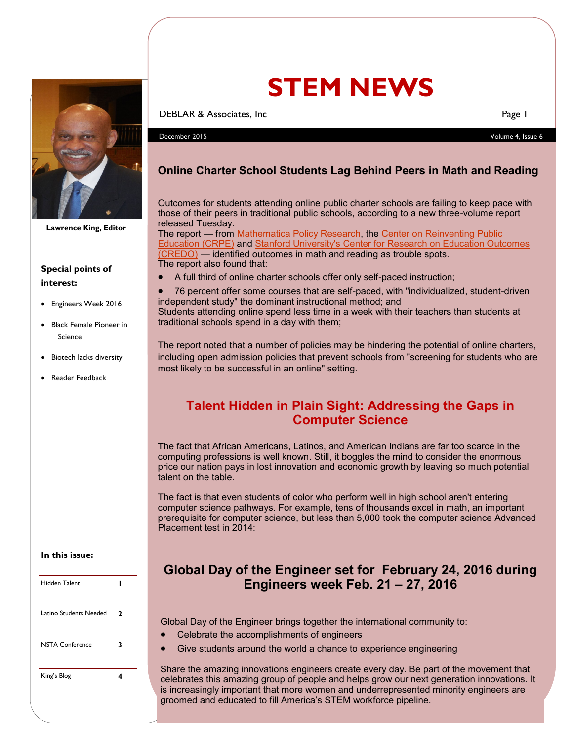

**Lawrence King, Editor**

## **Special points of interest:**

- Engineers Week 2016
- Black Female Pioneer in Science
- Biotech lacks diversity
- Reader Feedback

#### **In this issue:**

| Hidden Talent          |   |
|------------------------|---|
| Latino Students Needed | 2 |
| <b>NSTA Conference</b> | 3 |
| King's Blog            |   |

# **STEM NEWS**

**DEBLAR & Associates, Inc** Page 1

December 2015 Volume 4, Issue 6

## **Online Charter School Students Lag Behind Peers in Math and Reading**

Outcomes for students attending online public charter schools are failing to keep pace with those of their peers in traditional public schools, according to a new three-volume report released Tuesday.

The report — from [Mathematica Policy Research,](https://www.mathematica-mpr.com/) the [Center on Reinventing Public](http://www.crpe.org/)  [Education \(CRPE\)](http://www.crpe.org/) and [Stanford University's Center for Research on Education Outcomes](https://credo.stanford.edu/)  [\(CREDO\)](https://credo.stanford.edu/) — identified outcomes in math and reading as trouble spots. The report also found that:

A full third of online charter schools offer only self-paced instruction;

 76 percent offer some courses that are self-paced, with "individualized, student-driven independent study" the dominant instructional method; and

Students attending online spend less time in a week with their teachers than students at traditional schools spend in a day with them;

The report noted that a number of policies may be hindering the potential of online charters, including open admission policies that prevent schools from "screening for students who are most likely to be successful in an online" setting.

## **Talent Hidden in Plain Sight: Addressing the Gaps in Computer Science**

The fact that African Americans, Latinos, and American Indians are far too scarce in the computing professions is well known. Still, it boggles the mind to consider the enormous price our nation pays in lost innovation and economic growth by leaving so much potential talent on the table.

The fact is that even students of color who perform well in high school aren't entering computer science pathways. For example, tens of thousands excel in math, an important prerequisite for computer science, but less than 5,000 took the computer science Advanced Placement test in 2014:

## **Global Day of the Engineer set for February 24, 2016 during Engineers week Feb. 21 – 27, 2016**

Global Day of the Engineer brings together the international community to:

- Celebrate the accomplishments of engineers
- Give students around the world a chance to experience engineering

Share the amazing innovations engineers create every day. Be part of the movement that celebrates this amazing group of people and helps grow our next generation innovations. It is increasingly important that more women and underrepresented minority engineers are groomed and educated to fill America's STEM workforce pipeline.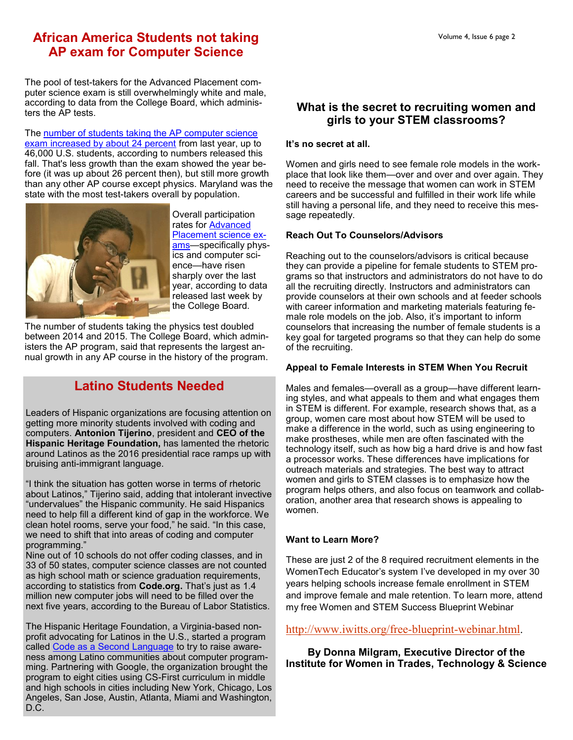## **African America Students not taking AP exam for Computer Science**

The pool of test-takers for the Advanced Placement computer science exam is still overwhelmingly white and male, according to data from the College Board, which administers the AP tests.

The number of students taking the AP computer science [exam increased by about 24 percent](http://www.edweek.org/ew/articles/2015/09/09/number-of-students-taking-ap-science-exams.html) from last year, up to 46,000 U.S. students, according to numbers released this fall. That's less growth than the exam showed the year before (it was up about 26 percent then), but still more growth than any other AP course except physics. Maryland was the state with the most test-takers overall by population.



Overall participation rates for [Advanced](http://research.collegeboard.org/programs/ap/data/participation/ap-2015)  [Placement science ex](http://research.collegeboard.org/programs/ap/data/participation/ap-2015)ams-specifically physics and computer science—have risen sharply over the last year, according to data released last week by the College Board.

The number of students taking the physics test doubled between 2014 and 2015. The College Board, which administers the AP program, said that represents the largest annual growth in any AP course in the history of the program.

# **Latino Students Needed**

Leaders of Hispanic organizations are focusing attention on getting more minority students involved with coding and computers. **Antonion Tijerino**, president and **CEO of the Hispanic Heritage Foundation,** has lamented the rhetoric around Latinos as the 2016 presidential race ramps up with bruising anti-immigrant language.

"I think the situation has gotten worse in terms of rhetoric about Latinos," Tijerino said, adding that intolerant invective "undervalues" the Hispanic community. He said Hispanics need to help fill a different kind of gap in the workforce. We clean hotel rooms, serve your food," he said. "In this case, we need to shift that into areas of coding and computer programming."

Nine out of 10 schools do not offer coding classes, and in 33 of 50 states, computer science classes are not counted as high school math or science graduation requirements, according to statistics from **Code.org.** That's just as 1.4 million new computer jobs will need to be filled over the next five years, according to the Bureau of Labor Statistics.

The Hispanic Heritage Foundation, a Virginia-based nonprofit advocating for Latinos in the U.S., started a program called [Code as a Second Language](http://www.loftcsl.org) to try to raise awareness among Latino communities about computer programming. Partnering with Google, the organization brought the program to eight cities using CS-First curriculum in middle and high schools in cities including New York, Chicago, Los Angeles, San Jose, Austin, Atlanta, Miami and Washington, D.C.

## **What is the secret to recruiting women and girls to your STEM classrooms?**

#### **It's no secret at all.**

Women and girls need to see female role models in the workplace that look like them—over and over and over again. They need to receive the message that women can work in STEM careers and be successful and fulfilled in their work life while still having a personal life, and they need to receive this message repeatedly.

#### **Reach Out To Counselors/Advisors**

Reaching out to the counselors/advisors is critical because they can provide a pipeline for female students to STEM programs so that instructors and administrators do not have to do all the recruiting directly. Instructors and administrators can provide counselors at their own schools and at feeder schools with career information and marketing materials featuring female role models on the job. Also, it's important to inform counselors that increasing the number of female students is a key goal for targeted programs so that they can help do some of the recruiting.

#### **Appeal to Female Interests in STEM When You Recruit**

Males and females—overall as a group—have different learning styles, and what appeals to them and what engages them in STEM is different. For example, research shows that, as a group, women care most about how STEM will be used to make a difference in the world, such as using engineering to make prostheses, while men are often fascinated with the technology itself, such as how big a hard drive is and how fast a processor works. These differences have implications for outreach materials and strategies. The best way to attract women and girls to STEM classes is to emphasize how the program helps others, and also focus on teamwork and collaboration, another area that research shows is appealing to women.

#### **Want to Learn More?**

These are just 2 of the 8 required recruitment elements in the WomenTech Educator's system I've developed in my over 30 years helping schools increase female enrollment in STEM and improve female and male retention. To learn more, attend my free Women and STEM Success Blueprint Webinar

[http://www.iwitts.org/free](http://www.iwitts.org/free-blueprint-webinar.html)-blueprint-webinar.html.

**By Donna Milgram, Executive Director of the Institute for Women in Trades, Technology & Science**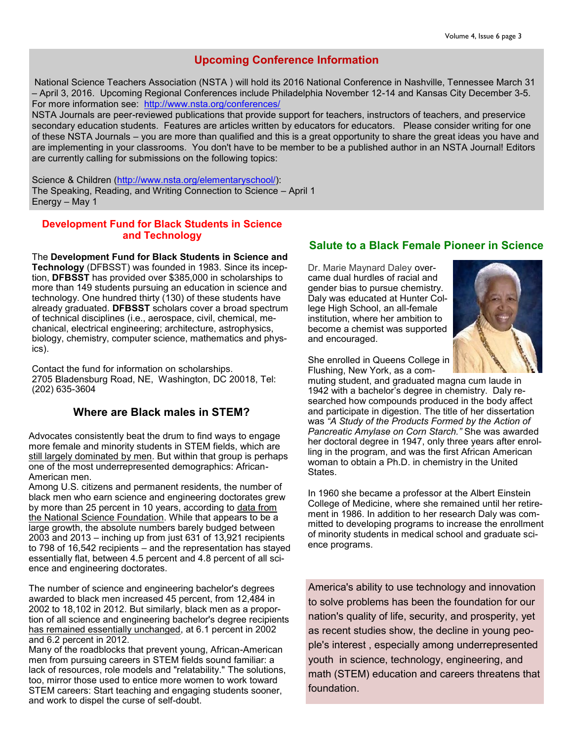## **Upcoming Conference Information**

National Science Teachers Association (NSTA ) will hold its 2016 National Conference in Nashville, Tennessee March 31 – April 3, 2016. Upcoming Regional Conferences include Philadelphia November 12-14 and Kansas City December 3-5. For more information see: [http://www.nsta.org/conferences/](http://www.georgiascienceteacher.org/EmailTracker/LinkTracker.ashx?linkAndRecipientCode=5pUbg1xs8Y%2bko9PdnPC86puq2gU%2f%2bVGpezQd8IPG5Ix3WyGrCnmug4Dr4ColYDA%2f4bT46NHMo013xtTsKviJ%2fxbyJkXzN5mS4AecBg2HJPE%3d)

NSTA Journals are peer-reviewed publications that provide support for teachers, instructors of teachers, and preservice secondary education students. Features are articles written by educators for educators. Please consider writing for one of these NSTA Journals – you are more than qualified and this is a great opportunity to share the great ideas you have and are implementing in your classrooms. You don't have to be member to be a published author in an NSTA Journal! Editors are currently calling for submissions on the following topics:

Science & Children [\(http://www.nsta.org/elementaryschool/\)](http://www.georgiascienceteacher.org/EmailTracker/LinkTracker.ashx?linkAndRecipientCode=JKJLVkjzeMz8BCI%2bUt6R%2bEKIJWZKf5rUdLlUtg3y2R0UiyjQEgcwSppDpBwbFENH2%2b0cS9%2bxexnfhFxL1BYpFgoG0PNr0MREiXihQXW4sU8%3d): The Speaking, Reading, and Writing Connection to Science – April 1 Energy – May 1

#### **Development Fund for Black Students in Science and Technology**

The **Development Fund for Black Students in Science and Technology** (DFBSST) was founded in 1983. Since its inception, **DFBSST** has provided over \$385,000 in scholarships to more than 149 students pursuing an education in science and technology. One hundred thirty (130) of these students have already graduated. **DFBSST** scholars cover a broad spectrum of technical disciplines (i.e., aerospace, civil, chemical, mechanical, electrical engineering; architecture, astrophysics, biology, chemistry, computer science, mathematics and physics).

Contact the fund for information on scholarships. 2705 Bladensburg Road, NE, Washington, DC 20018, Tel: (202) 635-3604

#### **Where are Black males in STEM?**

Advocates consistently beat the drum to find ways to engage more female and minority students in STEM fields, which are [still largely dominated by men.](http://www.usnews.com/news/stem-solutions/articles/2015/02/24/stem-workforce-no-more-diverse-than-14-years-ago) But within that group is perhaps one of the most underrepresented demographics: African-American men.

Among U.S. citizens and permanent residents, the number of black men who earn science and engineering doctorates grew by more than 25 percent in 10 years, according to [data from](http://nsf.gov/statistics/sed/2013/data/tab20.pdf)  [the National Science Foundation.](http://nsf.gov/statistics/sed/2013/data/tab20.pdf) While that appears to be a large growth, the absolute numbers barely budged between 2003 and 2013 – inching up from just 631 of 13,921 recipients to 798 of 16,542 recipients – and the representation has stayed essentially flat, between 4.5 percent and 4.8 percent of all science and engineering doctorates.

The number of science and engineering bachelor's degrees awarded to black men increased 45 percent, from 12,484 in 2002 to 18,102 in 2012. But similarly, black men as a proportion of all science and engineering bachelor's degree recipients [has remained essentially unchanged,](http://www.nsf.gov/statistics/wmpd/2013/pdf/tab5-5_updated_2014_05.pdf) at 6.1 percent in 2002 and 6.2 percent in 2012.

Many of the roadblocks that prevent young, African-American men from pursuing careers in STEM fields sound familiar: a lack of resources, role models and "relatability." The solutions, too, mirror those used to entice more women to work toward STEM careers: Start teaching and engaging students sooner, and work to dispel the curse of self-doubt.

#### **Salute to a Black Female Pioneer in Science**

Dr. Marie Maynard Daley overcame dual hurdles of racial and gender bias to pursue chemistry. Daly was educated at Hunter College High School, an all-female institution, where her ambition to become a chemist was supported and encouraged.



She enrolled in Queens College in Flushing, New York, as a com-

muting student, and graduated magna cum laude in 1942 with a bachelor's degree in chemistry. Daly researched how compounds produced in the body affect and participate in digestion. The title of her dissertation was *"A Study of the Products Formed by the Action of Pancreatic Amylase on Corn Starch."* She was awarded her doctoral degree in 1947, only three years after enrolling in the program, and was the first African American woman to obtain a Ph.D. in chemistry in the United **States** 

In 1960 she became a professor at the Albert Einstein College of Medicine, where she remained until her retirement in 1986. In addition to her research Daly was committed to developing programs to increase the enrollment of minority students in medical school and graduate science programs.

America's ability to use technology and innovation to solve problems has been the foundation for our nation's quality of life, security, and prosperity, yet as recent studies show, the decline in young people's interest , especially among underrepresented youth in science, technology, engineering, and math (STEM) education and careers threatens that foundation.